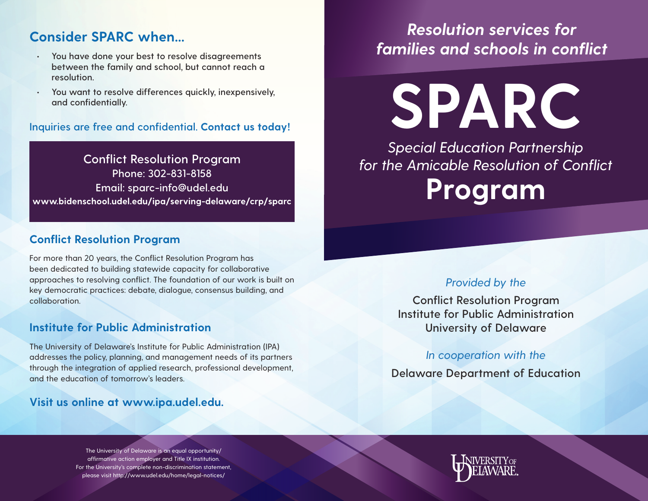### **Consider SPARC when...**

- **• You have done your best to resolve disagreements between the family and school, but cannot reach a resolution.**
- **• You want to resolve differences quickly, inexpensively, and confidentially.**

**Inquiries are free and confidential. Contact us today!**

**Conflict Resolution Program Phone: 302-831-8158 Email: sparc-info@udel.edu www.bidenschool.udel.edu/ipa/serving-delaware/crp/sparc**

### **Conflict Resolution Program**

For more than 20 years, the Conflict Resolution Program has been dedicated to building statewide capacity for collaborative approaches to resolving conflict. The foundation of our work is built on key democratic practices: debate, dialogue, consensus building, and collaboration.

### **Institute for Public Administration**

The University of Delaware's Institute for Public Administration (IPA) addresses the policy, planning, and management needs of its partners through the integration of applied research, professional development, and the education of tomorrow's leaders.

**Visit us online at www.ipa.udel.edu.** 

### The University of Delaware is an equal opportunity/ affirmative action employer and Title IX institution. For the University's complete non-discrimination statement, please visit http://www.udel.edu/home/legal-notices/

## *Resolution services for families and schools in conflict*

**SPARC** *Special Education Partnership* 

*for the Amicable Resolution of Conflict* **Program**

### *Provided by the*

**Conflict Resolution Program Institute for Public Administration University of Delaware**

*In cooperation with the*

**Delaware Department of Education**